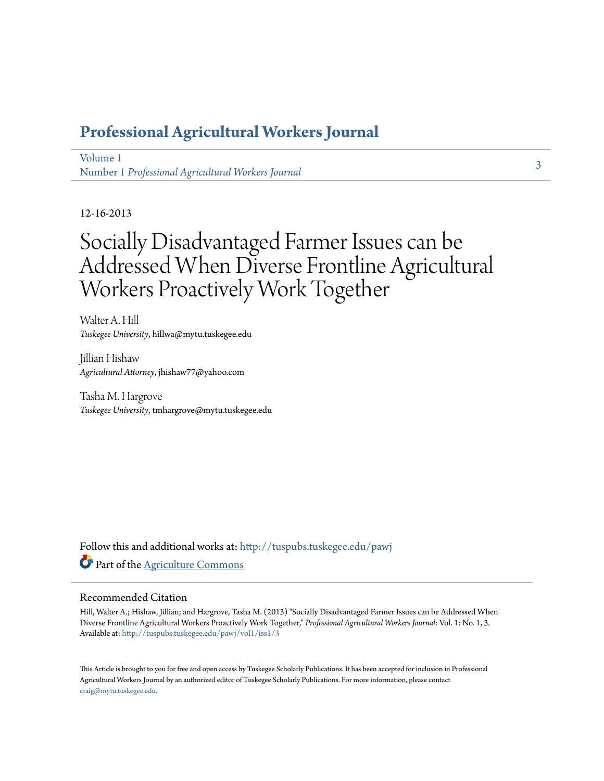## **[Professional Agricultural Workers Journal](http://tuspubs.tuskegee.edu/pawj?utm_source=tuspubs.tuskegee.edu%2Fpawj%2Fvol1%2Fiss1%2F3&utm_medium=PDF&utm_campaign=PDFCoverPages)**

[Volume 1](http://tuspubs.tuskegee.edu/pawj/vol1?utm_source=tuspubs.tuskegee.edu%2Fpawj%2Fvol1%2Fiss1%2F3&utm_medium=PDF&utm_campaign=PDFCoverPages) Number 1 *[Professional Agricultural Workers Journal](http://tuspubs.tuskegee.edu/pawj/vol1/iss1?utm_source=tuspubs.tuskegee.edu%2Fpawj%2Fvol1%2Fiss1%2F3&utm_medium=PDF&utm_campaign=PDFCoverPages)*

12-16-2013

# Socially Disadvantaged Farmer Issues can be Addressed When Diverse Frontline Agricultural Workers Proactively Work Together

Walter A. Hill *Tuskegee University*, hillwa@mytu.tuskegee.edu

Jillian Hishaw *Agricultural Attorney*, jhishaw77@yahoo.com

Tasha M. Hargrove *Tuskegee University*, tmhargrove@mytu.tuskegee.edu

Follow this and additional works at: [http://tuspubs.tuskegee.edu/pawj](http://tuspubs.tuskegee.edu/pawj?utm_source=tuspubs.tuskegee.edu%2Fpawj%2Fvol1%2Fiss1%2F3&utm_medium=PDF&utm_campaign=PDFCoverPages) Part of the [Agriculture Commons](http://network.bepress.com/hgg/discipline/1076?utm_source=tuspubs.tuskegee.edu%2Fpawj%2Fvol1%2Fiss1%2F3&utm_medium=PDF&utm_campaign=PDFCoverPages)

#### Recommended Citation

Hill, Walter A.; Hishaw, Jillian; and Hargrove, Tasha M. (2013) "Socially Disadvantaged Farmer Issues can be Addressed When Diverse Frontline Agricultural Workers Proactively Work Together," *Professional Agricultural Workers Journal*: Vol. 1: No. 1, 3. Available at: [http://tuspubs.tuskegee.edu/pawj/vol1/iss1/3](http://tuspubs.tuskegee.edu/pawj/vol1/iss1/3?utm_source=tuspubs.tuskegee.edu%2Fpawj%2Fvol1%2Fiss1%2F3&utm_medium=PDF&utm_campaign=PDFCoverPages)

This Article is brought to you for free and open access by Tuskegee Scholarly Publications. It has been accepted for inclusion in Professional Agricultural Workers Journal by an authorized editor of Tuskegee Scholarly Publications. For more information, please contact [craig@mytu.tuskegee.edu.](mailto:craig@mytu.tuskegee.edu)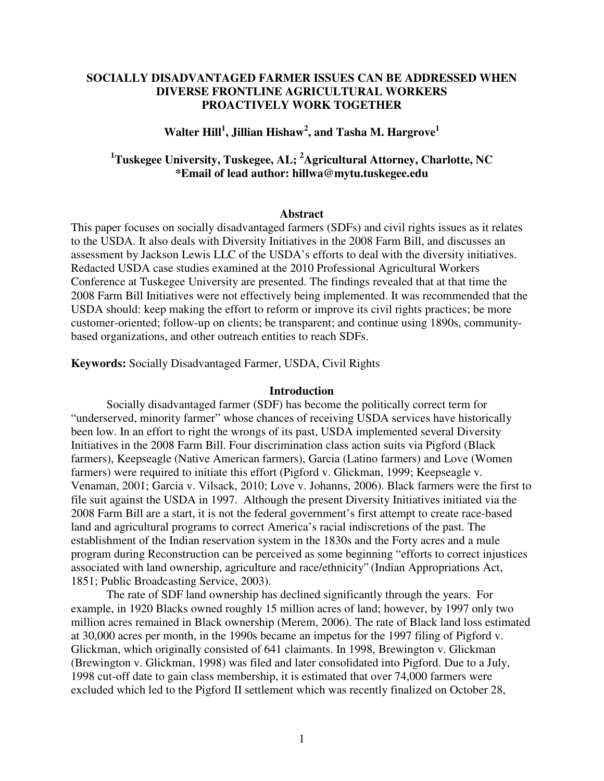#### **SOCIALLY DISADVANTAGED FARMER ISSUES CAN BE ADDRESSED WHEN DIVERSE FRONTLINE AGRICULTURAL WORKERS PROACTIVELY WORK TOGETHER**

## **Walter Hill<sup>1</sup> , Jillian Hishaw<sup>2</sup> , and Tasha M. Hargrove<sup>1</sup>**

## **<sup>1</sup>Tuskegee University, Tuskegee, AL; <sup>2</sup>Agricultural Attorney, Charlotte, NC \*Email of lead author: hillwa@mytu.tuskegee.edu**

#### **Abstract**

This paper focuses on socially disadvantaged farmers (SDFs) and civil rights issues as it relates to the USDA. It also deals with Diversity Initiatives in the 2008 Farm Bill, and discusses an assessment by Jackson Lewis LLC of the USDA's efforts to deal with the diversity initiatives. Redacted USDA case studies examined at the 2010 Professional Agricultural Workers Conference at Tuskegee University are presented. The findings revealed that at that time the 2008 Farm Bill Initiatives were not effectively being implemented. It was recommended that the USDA should: keep making the effort to reform or improve its civil rights practices; be more customer-oriented; follow-up on clients; be transparent; and continue using 1890s, communitybased organizations, and other outreach entities to reach SDFs.

**Keywords:** Socially Disadvantaged Farmer, USDA, Civil Rights

#### **Introduction**

Socially disadvantaged farmer (SDF) has become the politically correct term for "underserved, minority farmer" whose chances of receiving USDA services have historically been low. In an effort to right the wrongs of its past, USDA implemented several Diversity Initiatives in the 2008 Farm Bill. Four discrimination class action suits via Pigford (Black farmers), Keepseagle (Native American farmers), Garcia (Latino farmers) and Love (Women farmers) were required to initiate this effort (Pigford v. Glickman, 1999; Keepseagle v. Venaman, 2001; Garcia v. Vilsack, 2010; Love v. Johanns, 2006). Black farmers were the first to file suit against the USDA in 1997. Although the present Diversity Initiatives initiated via the 2008 Farm Bill are a start, it is not the federal government's first attempt to create race-based land and agricultural programs to correct America's racial indiscretions of the past. The establishment of the Indian reservation system in the 1830s and the Forty acres and a mule program during Reconstruction can be perceived as some beginning "efforts to correct injustices associated with land ownership, agriculture and race/ethnicity" (Indian Appropriations Act, 1851; Public Broadcasting Service, 2003).

The rate of SDF land ownership has declined significantly through the years. For example, in 1920 Blacks owned roughly 15 million acres of land; however, by 1997 only two million acres remained in Black ownership (Merem, 2006). The rate of Black land loss estimated at 30,000 acres per month, in the 1990s became an impetus for the 1997 filing of Pigford v. Glickman, which originally consisted of 641 claimants. In 1998, Brewington v. Glickman (Brewington v. Glickman, 1998) was filed and later consolidated into Pigford. Due to a July, 1998 cut-off date to gain class membership, it is estimated that over 74,000 farmers were excluded which led to the Pigford II settlement which was recently finalized on October 28,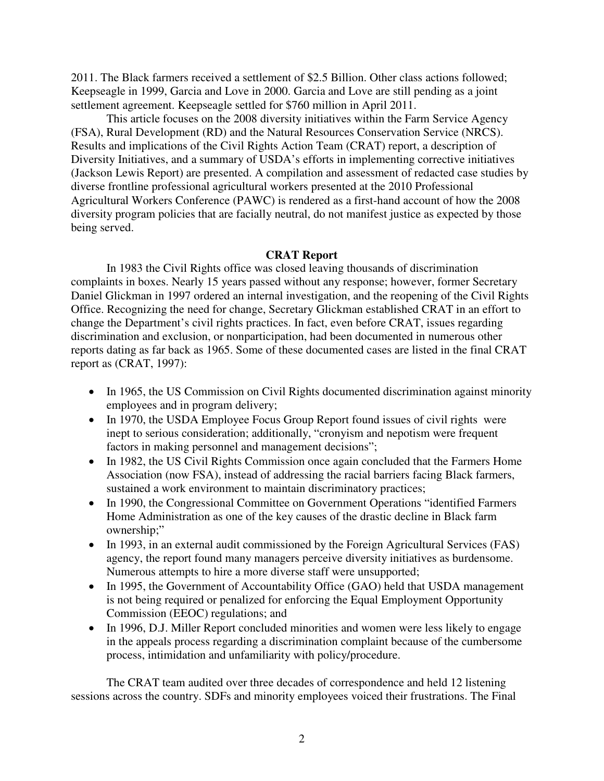2011. The Black farmers received a settlement of \$2.5 Billion. Other class actions followed; Keepseagle in 1999, Garcia and Love in 2000. Garcia and Love are still pending as a joint settlement agreement. Keepseagle settled for \$760 million in April 2011.

This article focuses on the 2008 diversity initiatives within the Farm Service Agency (FSA), Rural Development (RD) and the Natural Resources Conservation Service (NRCS). Results and implications of the Civil Rights Action Team (CRAT) report, a description of Diversity Initiatives, and a summary of USDA's efforts in implementing corrective initiatives (Jackson Lewis Report) are presented. A compilation and assessment of redacted case studies by diverse frontline professional agricultural workers presented at the 2010 Professional Agricultural Workers Conference (PAWC) is rendered as a first-hand account of how the 2008 diversity program policies that are facially neutral, do not manifest justice as expected by those being served.

#### **CRAT Report**

In 1983 the Civil Rights office was closed leaving thousands of discrimination complaints in boxes. Nearly 15 years passed without any response; however, former Secretary Daniel Glickman in 1997 ordered an internal investigation, and the reopening of the Civil Rights Office. Recognizing the need for change, Secretary Glickman established CRAT in an effort to change the Department's civil rights practices. In fact, even before CRAT, issues regarding discrimination and exclusion, or nonparticipation, had been documented in numerous other reports dating as far back as 1965. Some of these documented cases are listed in the final CRAT report as (CRAT, 1997):

- In 1965, the US Commission on Civil Rights documented discrimination against minority employees and in program delivery;
- In 1970, the USDA Employee Focus Group Report found issues of civil rights were inept to serious consideration; additionally, "cronyism and nepotism were frequent factors in making personnel and management decisions";
- In 1982, the US Civil Rights Commission once again concluded that the Farmers Home Association (now FSA), instead of addressing the racial barriers facing Black farmers, sustained a work environment to maintain discriminatory practices;
- In 1990, the Congressional Committee on Government Operations "identified Farmers Home Administration as one of the key causes of the drastic decline in Black farm ownership;"
- In 1993, in an external audit commissioned by the Foreign Agricultural Services (FAS) agency, the report found many managers perceive diversity initiatives as burdensome. Numerous attempts to hire a more diverse staff were unsupported;
- In 1995, the Government of Accountability Office (GAO) held that USDA management is not being required or penalized for enforcing the Equal Employment Opportunity Commission (EEOC) regulations; and
- In 1996, D.J. Miller Report concluded minorities and women were less likely to engage in the appeals process regarding a discrimination complaint because of the cumbersome process, intimidation and unfamiliarity with policy/procedure.

The CRAT team audited over three decades of correspondence and held 12 listening sessions across the country. SDFs and minority employees voiced their frustrations. The Final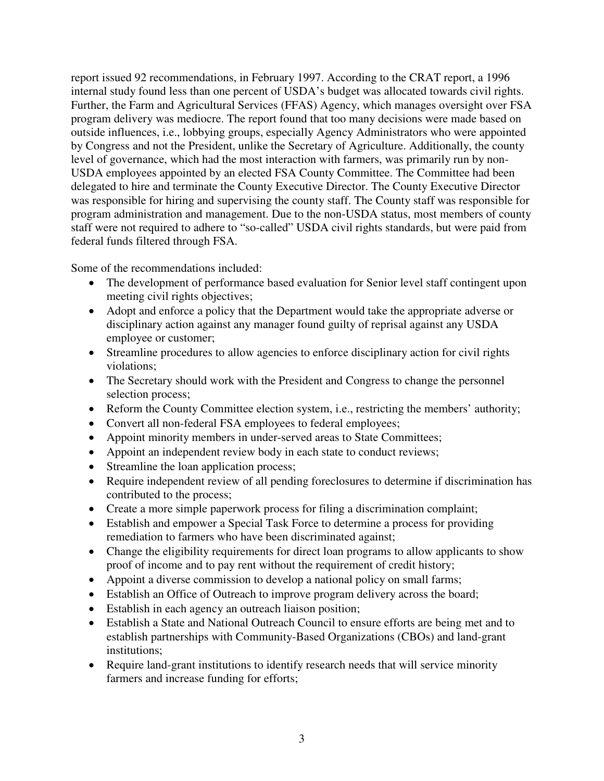report issued 92 recommendations, in February 1997. According to the CRAT report, a 1996 internal study found less than one percent of USDA's budget was allocated towards civil rights. Further, the Farm and Agricultural Services (FFAS) Agency, which manages oversight over FSA program delivery was mediocre. The report found that too many decisions were made based on outside influences, i.e., lobbying groups, especially Agency Administrators who were appointed by Congress and not the President, unlike the Secretary of Agriculture. Additionally, the county level of governance, which had the most interaction with farmers, was primarily run by non-USDA employees appointed by an elected FSA County Committee. The Committee had been delegated to hire and terminate the County Executive Director. The County Executive Director was responsible for hiring and supervising the county staff. The County staff was responsible for program administration and management. Due to the non-USDA status, most members of county staff were not required to adhere to "so-called" USDA civil rights standards, but were paid from federal funds filtered through FSA.

Some of the recommendations included:

- The development of performance based evaluation for Senior level staff contingent upon meeting civil rights objectives;
- Adopt and enforce a policy that the Department would take the appropriate adverse or disciplinary action against any manager found guilty of reprisal against any USDA employee or customer;
- Streamline procedures to allow agencies to enforce disciplinary action for civil rights violations;
- The Secretary should work with the President and Congress to change the personnel selection process;
- Reform the County Committee election system, i.e., restricting the members' authority;
- Convert all non-federal FSA employees to federal employees;
- Appoint minority members in under-served areas to State Committees;
- Appoint an independent review body in each state to conduct reviews;
- Streamline the loan application process;
- Require independent review of all pending foreclosures to determine if discrimination has contributed to the process;
- Create a more simple paperwork process for filing a discrimination complaint;
- Establish and empower a Special Task Force to determine a process for providing remediation to farmers who have been discriminated against;
- Change the eligibility requirements for direct loan programs to allow applicants to show proof of income and to pay rent without the requirement of credit history;
- Appoint a diverse commission to develop a national policy on small farms;
- Establish an Office of Outreach to improve program delivery across the board;
- Establish in each agency an outreach liaison position;
- Establish a State and National Outreach Council to ensure efforts are being met and to establish partnerships with Community-Based Organizations (CBOs) and land-grant institutions;
- Require land-grant institutions to identify research needs that will service minority farmers and increase funding for efforts;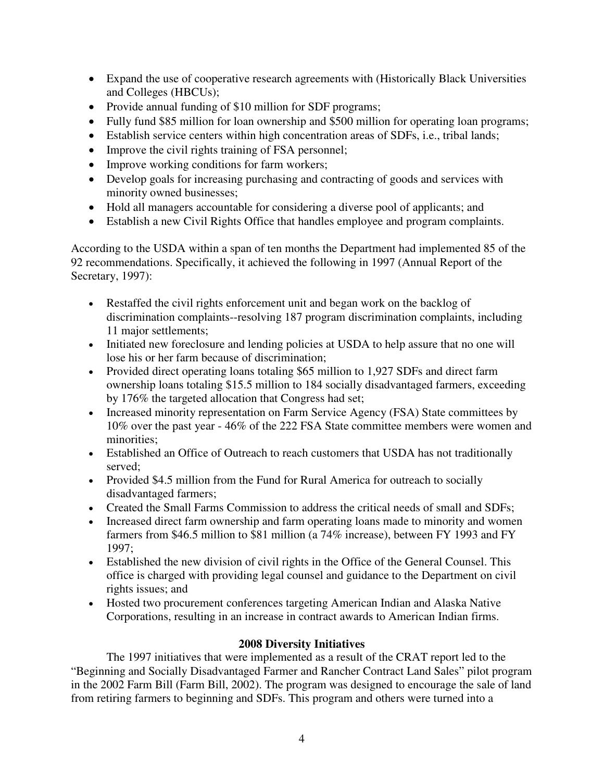- Expand the use of cooperative research agreements with (Historically Black Universities and Colleges (HBCUs);
- Provide annual funding of \$10 million for SDF programs;
- Fully fund \$85 million for loan ownership and \$500 million for operating loan programs;
- Establish service centers within high concentration areas of SDFs, i.e., tribal lands;
- Improve the civil rights training of FSA personnel;
- Improve working conditions for farm workers;
- Develop goals for increasing purchasing and contracting of goods and services with minority owned businesses;
- Hold all managers accountable for considering a diverse pool of applicants; and
- Establish a new Civil Rights Office that handles employee and program complaints.

According to the USDA within a span of ten months the Department had implemented 85 of the 92 recommendations. Specifically, it achieved the following in 1997 (Annual Report of the Secretary, 1997):

- Restaffed the civil rights enforcement unit and began work on the backlog of discrimination complaints--resolving 187 program discrimination complaints, including 11 major settlements;
- Initiated new foreclosure and lending policies at USDA to help assure that no one will lose his or her farm because of discrimination;
- Provided direct operating loans totaling \$65 million to 1,927 SDFs and direct farm ownership loans totaling \$15.5 million to 184 socially disadvantaged farmers, exceeding by 176% the targeted allocation that Congress had set;
- Increased minority representation on Farm Service Agency (FSA) State committees by 10% over the past year - 46% of the 222 FSA State committee members were women and minorities;
- Established an Office of Outreach to reach customers that USDA has not traditionally served;
- Provided \$4.5 million from the Fund for Rural America for outreach to socially disadvantaged farmers;
- Created the Small Farms Commission to address the critical needs of small and SDFs;
- Increased direct farm ownership and farm operating loans made to minority and women farmers from \$46.5 million to \$81 million (a 74% increase), between FY 1993 and FY 1997;
- Established the new division of civil rights in the Office of the General Counsel. This office is charged with providing legal counsel and guidance to the Department on civil rights issues; and
- Hosted two procurement conferences targeting American Indian and Alaska Native Corporations, resulting in an increase in contract awards to American Indian firms.

## **2008 Diversity Initiatives**

The 1997 initiatives that were implemented as a result of the CRAT report led to the "Beginning and Socially Disadvantaged Farmer and Rancher Contract Land Sales" pilot program in the 2002 Farm Bill (Farm Bill, 2002). The program was designed to encourage the sale of land from retiring farmers to beginning and SDFs. This program and others were turned into a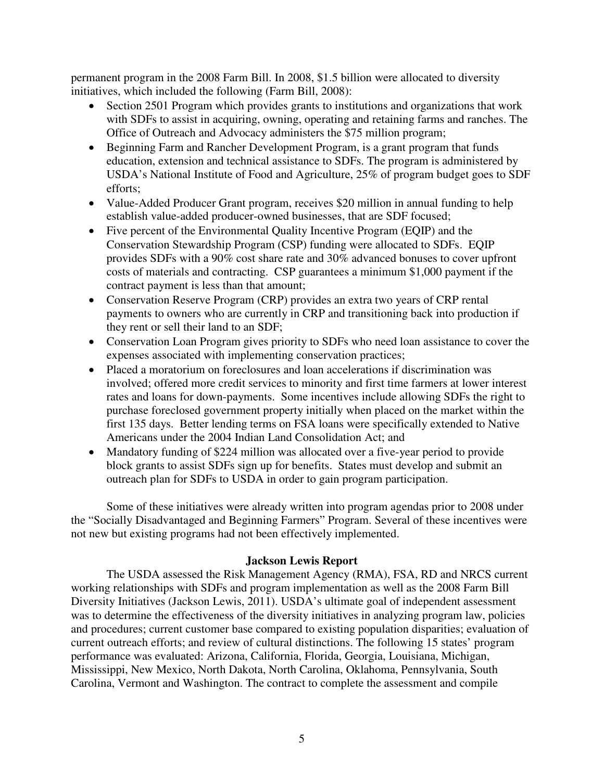permanent program in the 2008 Farm Bill. In 2008, \$1.5 billion were allocated to diversity initiatives, which included the following (Farm Bill, 2008):

- Section 2501 Program which provides grants to institutions and organizations that work with SDFs to assist in acquiring, owning, operating and retaining farms and ranches. The Office of Outreach and Advocacy administers the \$75 million program;
- Beginning Farm and Rancher Development Program, is a grant program that funds education, extension and technical assistance to SDFs. The program is administered by USDA's National Institute of Food and Agriculture, 25% of program budget goes to SDF efforts;
- Value-Added Producer Grant program, receives \$20 million in annual funding to help establish value-added producer-owned businesses, that are SDF focused;
- Five percent of the Environmental Quality Incentive Program (EQIP) and the Conservation Stewardship Program (CSP) funding were allocated to SDFs. EQIP provides SDFs with a 90% cost share rate and 30% advanced bonuses to cover upfront costs of materials and contracting. CSP guarantees a minimum \$1,000 payment if the contract payment is less than that amount;
- Conservation Reserve Program (CRP) provides an extra two years of CRP rental payments to owners who are currently in CRP and transitioning back into production if they rent or sell their land to an SDF;
- Conservation Loan Program gives priority to SDFs who need loan assistance to cover the expenses associated with implementing conservation practices;
- Placed a moratorium on foreclosures and loan accelerations if discrimination was involved; offered more credit services to minority and first time farmers at lower interest rates and loans for down-payments. Some incentives include allowing SDFs the right to purchase foreclosed government property initially when placed on the market within the first 135 days. Better lending terms on FSA loans were specifically extended to Native Americans under the 2004 Indian Land Consolidation Act; and
- Mandatory funding of \$224 million was allocated over a five-year period to provide block grants to assist SDFs sign up for benefits. States must develop and submit an outreach plan for SDFs to USDA in order to gain program participation.

Some of these initiatives were already written into program agendas prior to 2008 under the "Socially Disadvantaged and Beginning Farmers" Program. Several of these incentives were not new but existing programs had not been effectively implemented.

#### **Jackson Lewis Report**

The USDA assessed the Risk Management Agency (RMA), FSA, RD and NRCS current working relationships with SDFs and program implementation as well as the 2008 Farm Bill Diversity Initiatives (Jackson Lewis, 2011). USDA's ultimate goal of independent assessment was to determine the effectiveness of the diversity initiatives in analyzing program law, policies and procedures; current customer base compared to existing population disparities; evaluation of current outreach efforts; and review of cultural distinctions. The following 15 states' program performance was evaluated: Arizona, California, Florida, Georgia, Louisiana, Michigan, Mississippi, New Mexico, North Dakota, North Carolina, Oklahoma, Pennsylvania, South Carolina, Vermont and Washington. The contract to complete the assessment and compile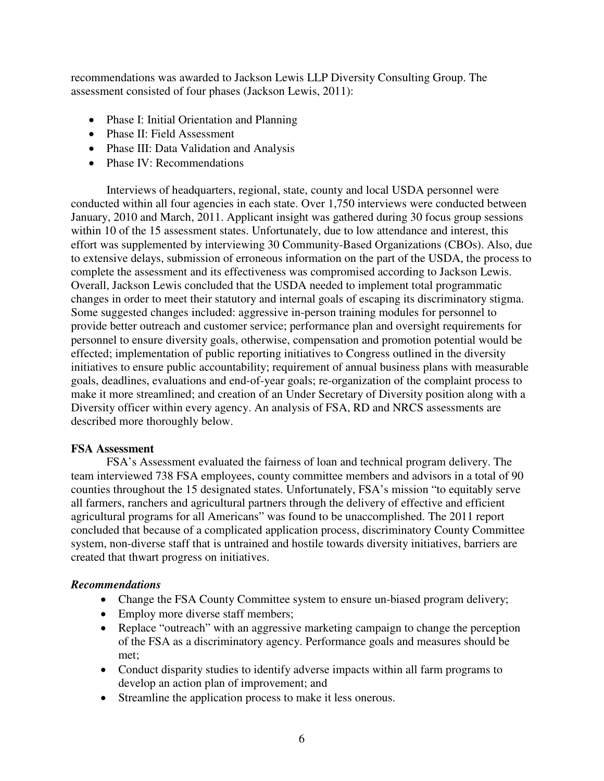recommendations was awarded to Jackson Lewis LLP Diversity Consulting Group. The assessment consisted of four phases (Jackson Lewis, 2011):

- Phase I: Initial Orientation and Planning
- Phase II: Field Assessment
- Phase III: Data Validation and Analysis
- Phase IV: Recommendations

Interviews of headquarters, regional, state, county and local USDA personnel were conducted within all four agencies in each state. Over 1,750 interviews were conducted between January, 2010 and March, 2011. Applicant insight was gathered during 30 focus group sessions within 10 of the 15 assessment states. Unfortunately, due to low attendance and interest, this effort was supplemented by interviewing 30 Community-Based Organizations (CBOs). Also, due to extensive delays, submission of erroneous information on the part of the USDA, the process to complete the assessment and its effectiveness was compromised according to Jackson Lewis. Overall, Jackson Lewis concluded that the USDA needed to implement total programmatic changes in order to meet their statutory and internal goals of escaping its discriminatory stigma. Some suggested changes included: aggressive in-person training modules for personnel to provide better outreach and customer service; performance plan and oversight requirements for personnel to ensure diversity goals, otherwise, compensation and promotion potential would be effected; implementation of public reporting initiatives to Congress outlined in the diversity initiatives to ensure public accountability; requirement of annual business plans with measurable goals, deadlines, evaluations and end-of-year goals; re-organization of the complaint process to make it more streamlined; and creation of an Under Secretary of Diversity position along with a Diversity officer within every agency. An analysis of FSA, RD and NRCS assessments are described more thoroughly below.

## **FSA Assessment**

FSA's Assessment evaluated the fairness of loan and technical program delivery. The team interviewed 738 FSA employees, county committee members and advisors in a total of 90 counties throughout the 15 designated states. Unfortunately, FSA's mission "to equitably serve all farmers, ranchers and agricultural partners through the delivery of effective and efficient agricultural programs for all Americans" was found to be unaccomplished. The 2011 report concluded that because of a complicated application process, discriminatory County Committee system, non-diverse staff that is untrained and hostile towards diversity initiatives, barriers are created that thwart progress on initiatives.

## *Recommendations*

- Change the FSA County Committee system to ensure un-biased program delivery;
- Employ more diverse staff members;
- Replace "outreach" with an aggressive marketing campaign to change the perception of the FSA as a discriminatory agency. Performance goals and measures should be met;
- Conduct disparity studies to identify adverse impacts within all farm programs to develop an action plan of improvement; and
- Streamline the application process to make it less onerous.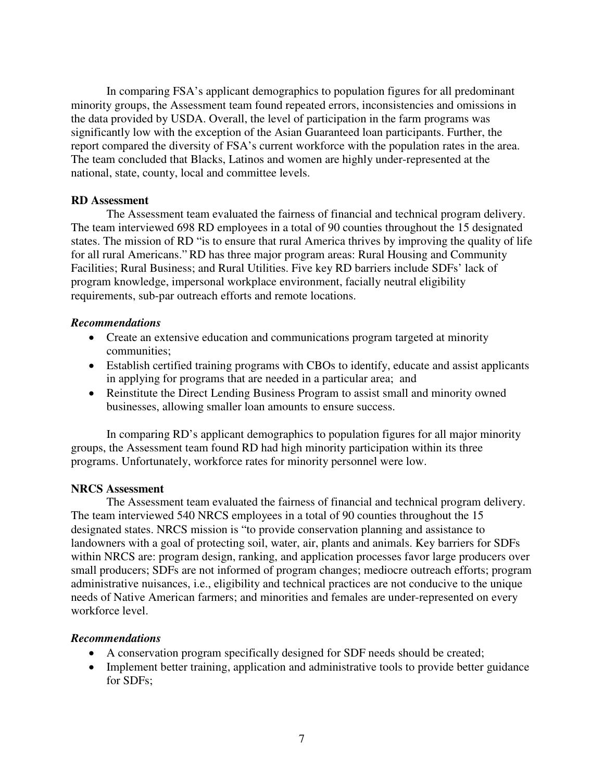In comparing FSA's applicant demographics to population figures for all predominant minority groups, the Assessment team found repeated errors, inconsistencies and omissions in the data provided by USDA. Overall, the level of participation in the farm programs was significantly low with the exception of the Asian Guaranteed loan participants. Further, the report compared the diversity of FSA's current workforce with the population rates in the area. The team concluded that Blacks, Latinos and women are highly under-represented at the national, state, county, local and committee levels.

#### **RD Assessment**

The Assessment team evaluated the fairness of financial and technical program delivery. The team interviewed 698 RD employees in a total of 90 counties throughout the 15 designated states. The mission of RD "is to ensure that rural America thrives by improving the quality of life for all rural Americans." RD has three major program areas: Rural Housing and Community Facilities; Rural Business; and Rural Utilities. Five key RD barriers include SDFs' lack of program knowledge, impersonal workplace environment, facially neutral eligibility requirements, sub-par outreach efforts and remote locations.

#### *Recommendations*

- Create an extensive education and communications program targeted at minority communities;
- Establish certified training programs with CBOs to identify, educate and assist applicants in applying for programs that are needed in a particular area; and
- Reinstitute the Direct Lending Business Program to assist small and minority owned businesses, allowing smaller loan amounts to ensure success.

In comparing RD's applicant demographics to population figures for all major minority groups, the Assessment team found RD had high minority participation within its three programs. Unfortunately, workforce rates for minority personnel were low.

#### **NRCS Assessment**

The Assessment team evaluated the fairness of financial and technical program delivery. The team interviewed 540 NRCS employees in a total of 90 counties throughout the 15 designated states. NRCS mission is "to provide conservation planning and assistance to landowners with a goal of protecting soil, water, air, plants and animals. Key barriers for SDFs within NRCS are: program design, ranking, and application processes favor large producers over small producers; SDFs are not informed of program changes; mediocre outreach efforts; program administrative nuisances, i.e., eligibility and technical practices are not conducive to the unique needs of Native American farmers; and minorities and females are under-represented on every workforce level.

#### *Recommendations*

- A conservation program specifically designed for SDF needs should be created;
- Implement better training, application and administrative tools to provide better guidance for SDFs;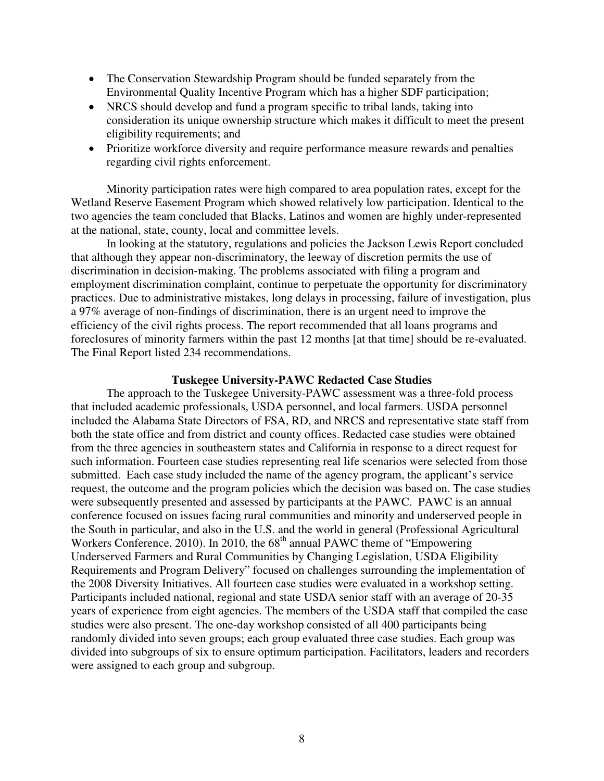- The Conservation Stewardship Program should be funded separately from the Environmental Quality Incentive Program which has a higher SDF participation;
- NRCS should develop and fund a program specific to tribal lands, taking into consideration its unique ownership structure which makes it difficult to meet the present eligibility requirements; and
- Prioritize workforce diversity and require performance measure rewards and penalties regarding civil rights enforcement.

Minority participation rates were high compared to area population rates, except for the Wetland Reserve Easement Program which showed relatively low participation. Identical to the two agencies the team concluded that Blacks, Latinos and women are highly under-represented at the national, state, county, local and committee levels.

In looking at the statutory, regulations and policies the Jackson Lewis Report concluded that although they appear non-discriminatory, the leeway of discretion permits the use of discrimination in decision-making. The problems associated with filing a program and employment discrimination complaint, continue to perpetuate the opportunity for discriminatory practices. Due to administrative mistakes, long delays in processing, failure of investigation, plus a 97% average of non-findings of discrimination, there is an urgent need to improve the efficiency of the civil rights process. The report recommended that all loans programs and foreclosures of minority farmers within the past 12 months [at that time] should be re-evaluated. The Final Report listed 234 recommendations.

#### **Tuskegee University-PAWC Redacted Case Studies**

The approach to the Tuskegee University-PAWC assessment was a three-fold process that included academic professionals, USDA personnel, and local farmers. USDA personnel included the Alabama State Directors of FSA, RD, and NRCS and representative state staff from both the state office and from district and county offices. Redacted case studies were obtained from the three agencies in southeastern states and California in response to a direct request for such information. Fourteen case studies representing real life scenarios were selected from those submitted. Each case study included the name of the agency program, the applicant's service request, the outcome and the program policies which the decision was based on. The case studies were subsequently presented and assessed by participants at the PAWC. PAWC is an annual conference focused on issues facing rural communities and minority and underserved people in the South in particular, and also in the U.S. and the world in general (Professional Agricultural Workers Conference, 2010). In 2010, the  $68<sup>th</sup>$  annual PAWC theme of "Empowering" Underserved Farmers and Rural Communities by Changing Legislation, USDA Eligibility Requirements and Program Delivery" focused on challenges surrounding the implementation of the 2008 Diversity Initiatives. All fourteen case studies were evaluated in a workshop setting. Participants included national, regional and state USDA senior staff with an average of 20-35 years of experience from eight agencies. The members of the USDA staff that compiled the case studies were also present. The one-day workshop consisted of all 400 participants being randomly divided into seven groups; each group evaluated three case studies. Each group was divided into subgroups of six to ensure optimum participation. Facilitators, leaders and recorders were assigned to each group and subgroup.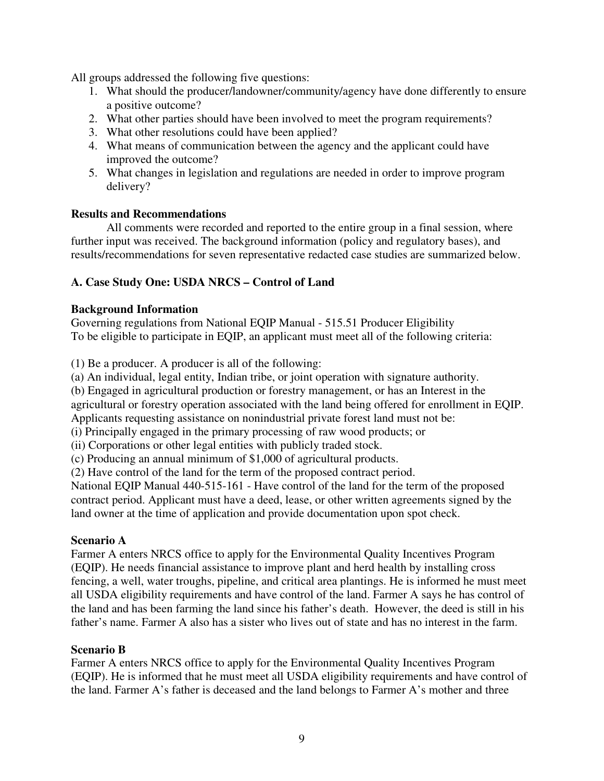All groups addressed the following five questions:

- 1. What should the producer/landowner/community/agency have done differently to ensure a positive outcome?
- 2. What other parties should have been involved to meet the program requirements?
- 3. What other resolutions could have been applied?
- 4. What means of communication between the agency and the applicant could have improved the outcome?
- 5. What changes in legislation and regulations are needed in order to improve program delivery?

#### **Results and Recommendations**

All comments were recorded and reported to the entire group in a final session, where further input was received. The background information (policy and regulatory bases), and results/recommendations for seven representative redacted case studies are summarized below.

## **A. Case Study One: USDA NRCS – Control of Land**

#### **Background Information**

Governing regulations from National EQIP Manual - 515.51 Producer Eligibility To be eligible to participate in EQIP, an applicant must meet all of the following criteria:

(1) Be a producer. A producer is all of the following:

(a) An individual, legal entity, Indian tribe, or joint operation with signature authority.

(b) Engaged in agricultural production or forestry management, or has an Interest in the

agricultural or forestry operation associated with the land being offered for enrollment in EQIP. Applicants requesting assistance on nonindustrial private forest land must not be:

(i) Principally engaged in the primary processing of raw wood products; or

(ii) Corporations or other legal entities with publicly traded stock.

(c) Producing an annual minimum of \$1,000 of agricultural products.

(2) Have control of the land for the term of the proposed contract period.

National EQIP Manual 440-515-161 - Have control of the land for the term of the proposed contract period. Applicant must have a deed, lease, or other written agreements signed by the land owner at the time of application and provide documentation upon spot check.

#### **Scenario A**

Farmer A enters NRCS office to apply for the Environmental Quality Incentives Program (EQIP). He needs financial assistance to improve plant and herd health by installing cross fencing, a well, water troughs, pipeline, and critical area plantings. He is informed he must meet all USDA eligibility requirements and have control of the land. Farmer A says he has control of the land and has been farming the land since his father's death. However, the deed is still in his father's name. Farmer A also has a sister who lives out of state and has no interest in the farm.

#### **Scenario B**

Farmer A enters NRCS office to apply for the Environmental Quality Incentives Program (EQIP). He is informed that he must meet all USDA eligibility requirements and have control of the land. Farmer A's father is deceased and the land belongs to Farmer A's mother and three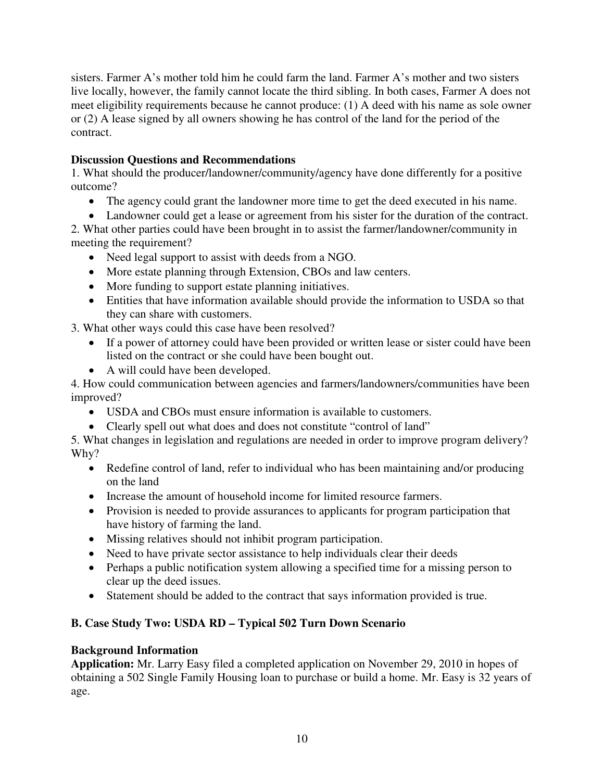sisters. Farmer A's mother told him he could farm the land. Farmer A's mother and two sisters live locally, however, the family cannot locate the third sibling. In both cases, Farmer A does not meet eligibility requirements because he cannot produce: (1) A deed with his name as sole owner or (2) A lease signed by all owners showing he has control of the land for the period of the contract.

## **Discussion Questions and Recommendations**

1. What should the producer/landowner/community/agency have done differently for a positive outcome?

- The agency could grant the landowner more time to get the deed executed in his name.
- Landowner could get a lease or agreement from his sister for the duration of the contract.

2. What other parties could have been brought in to assist the farmer/landowner/community in meeting the requirement?

- Need legal support to assist with deeds from a NGO.
- More estate planning through Extension, CBOs and law centers.
- More funding to support estate planning initiatives.
- Entities that have information available should provide the information to USDA so that they can share with customers.

3. What other ways could this case have been resolved?

- If a power of attorney could have been provided or written lease or sister could have been listed on the contract or she could have been bought out.
- A will could have been developed.

4. How could communication between agencies and farmers/landowners/communities have been improved?

- USDA and CBOs must ensure information is available to customers.
- Clearly spell out what does and does not constitute "control of land"

5. What changes in legislation and regulations are needed in order to improve program delivery? Why?

- Redefine control of land, refer to individual who has been maintaining and/or producing on the land
- Increase the amount of household income for limited resource farmers.
- Provision is needed to provide assurances to applicants for program participation that have history of farming the land.
- Missing relatives should not inhibit program participation.
- Need to have private sector assistance to help individuals clear their deeds
- Perhaps a public notification system allowing a specified time for a missing person to clear up the deed issues.
- Statement should be added to the contract that says information provided is true.

## **B. Case Study Two: USDA RD – Typical 502 Turn Down Scenario**

## **Background Information**

**Application:** Mr. Larry Easy filed a completed application on November 29, 2010 in hopes of obtaining a 502 Single Family Housing loan to purchase or build a home. Mr. Easy is 32 years of age.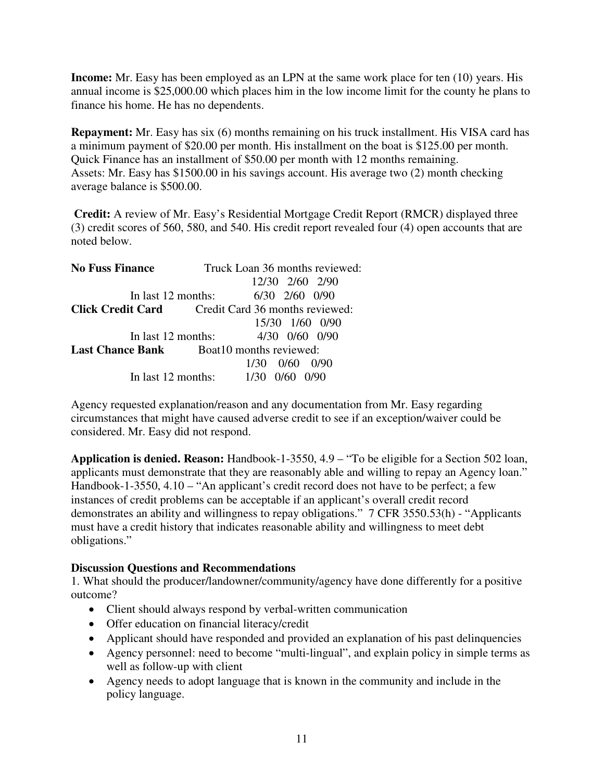**Income:** Mr. Easy has been employed as an LPN at the same work place for ten (10) years. His annual income is \$25,000.00 which places him in the low income limit for the county he plans to finance his home. He has no dependents.

**Repayment:** Mr. Easy has six (6) months remaining on his truck installment. His VISA card has a minimum payment of \$20.00 per month. His installment on the boat is \$125.00 per month. Quick Finance has an installment of \$50.00 per month with 12 months remaining. Assets: Mr. Easy has \$1500.00 in his savings account. His average two (2) month checking average balance is \$500.00.

**Credit:** A review of Mr. Easy's Residential Mortgage Credit Report (RMCR) displayed three (3) credit scores of 560, 580, and 540. His credit report revealed four (4) open accounts that are noted below.

| <b>No Fuss Finance</b>                           | Truck Loan 36 months reviewed:                           |
|--------------------------------------------------|----------------------------------------------------------|
|                                                  | 12/30 2/60 2/90                                          |
| In last 12 months:                               | $6/30$ $2/60$ $0/90$                                     |
|                                                  | <b>Click Credit Card</b> Credit Card 36 months reviewed: |
|                                                  | 15/30 1/60 0/90                                          |
| In last 12 months:                               | 4/30 0/60 0/90                                           |
| <b>Last Chance Bank</b> Boat 10 months reviewed: |                                                          |
|                                                  | 0/60<br>(1/9)<br>1/30                                    |
| In last 12 months:                               | 0/90<br>1/30                                             |

Agency requested explanation/reason and any documentation from Mr. Easy regarding circumstances that might have caused adverse credit to see if an exception/waiver could be considered. Mr. Easy did not respond.

**Application is denied. Reason:** Handbook-1-3550, 4.9 – "To be eligible for a Section 502 loan, applicants must demonstrate that they are reasonably able and willing to repay an Agency loan." Handbook-1-3550, 4.10 – "An applicant's credit record does not have to be perfect; a few instances of credit problems can be acceptable if an applicant's overall credit record demonstrates an ability and willingness to repay obligations." 7 CFR 3550.53(h) - "Applicants must have a credit history that indicates reasonable ability and willingness to meet debt obligations."

#### **Discussion Questions and Recommendations**

1. What should the producer/landowner/community/agency have done differently for a positive outcome?

- Client should always respond by verbal-written communication
- Offer education on financial literacy/credit
- Applicant should have responded and provided an explanation of his past delinquencies
- Agency personnel: need to become "multi-lingual", and explain policy in simple terms as well as follow-up with client
- Agency needs to adopt language that is known in the community and include in the policy language.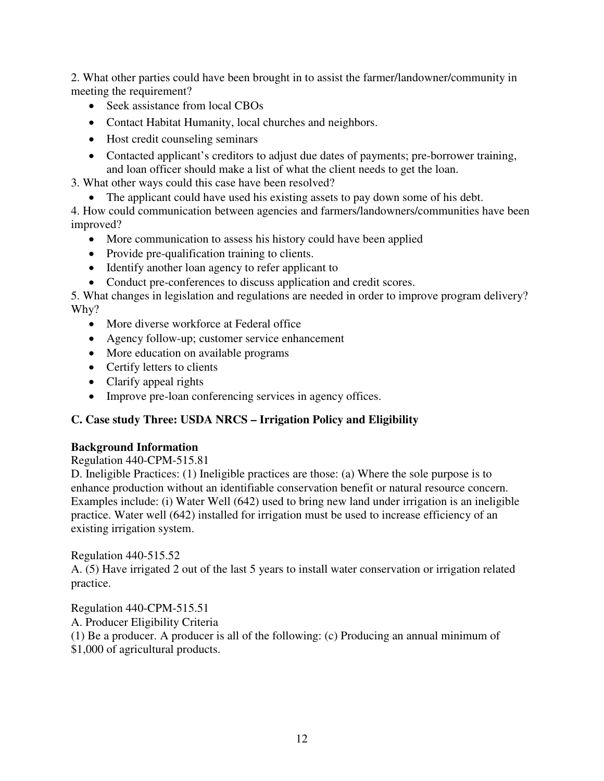2. What other parties could have been brought in to assist the farmer/landowner/community in meeting the requirement?

- Seek assistance from local CBOs
- Contact Habitat Humanity, local churches and neighbors.
- Host credit counseling seminars
- Contacted applicant's creditors to adjust due dates of payments; pre-borrower training, and loan officer should make a list of what the client needs to get the loan.

3. What other ways could this case have been resolved?

• The applicant could have used his existing assets to pay down some of his debt.

4. How could communication between agencies and farmers/landowners/communities have been improved?

- More communication to assess his history could have been applied
- Provide pre-qualification training to clients.
- Identify another loan agency to refer applicant to
- Conduct pre-conferences to discuss application and credit scores.

5. What changes in legislation and regulations are needed in order to improve program delivery? Why?

- More diverse workforce at Federal office
- Agency follow-up; customer service enhancement
- More education on available programs
- Certify letters to clients
- Clarify appeal rights
- Improve pre-loan conferencing services in agency offices.

#### **C. Case study Three: USDA NRCS – Irrigation Policy and Eligibility**

#### **Background Information**

Regulation 440-CPM-515.81

D. Ineligible Practices: (1) Ineligible practices are those: (a) Where the sole purpose is to enhance production without an identifiable conservation benefit or natural resource concern. Examples include: (i) Water Well (642) used to bring new land under irrigation is an ineligible practice. Water well (642) installed for irrigation must be used to increase efficiency of an existing irrigation system.

#### Regulation 440-515.52

A. (5) Have irrigated 2 out of the last 5 years to install water conservation or irrigation related practice.

Regulation 440-CPM-515.51 A. Producer Eligibility Criteria (1) Be a producer. A producer is all of the following: (c) Producing an annual minimum of \$1,000 of agricultural products.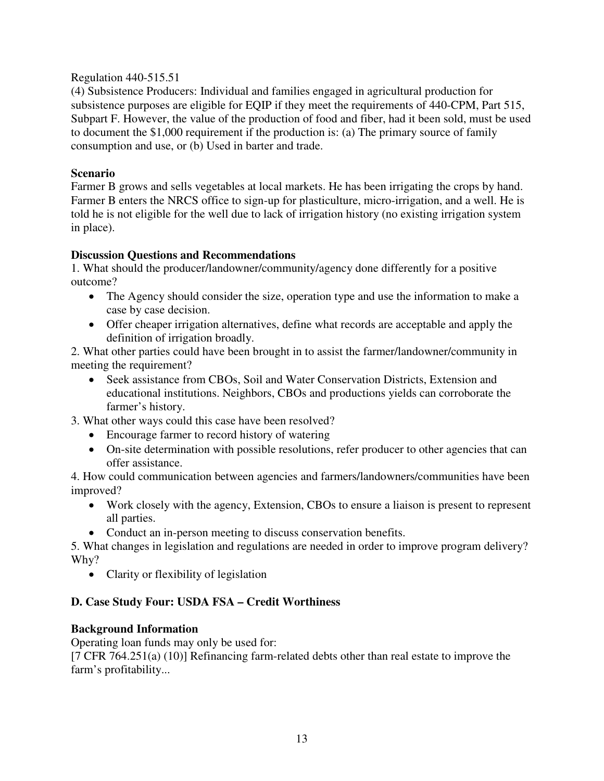#### Regulation 440-515.51

(4) Subsistence Producers: Individual and families engaged in agricultural production for subsistence purposes are eligible for EQIP if they meet the requirements of 440-CPM, Part 515, Subpart F. However, the value of the production of food and fiber, had it been sold, must be used to document the \$1,000 requirement if the production is: (a) The primary source of family consumption and use, or (b) Used in barter and trade.

## **Scenario**

Farmer B grows and sells vegetables at local markets. He has been irrigating the crops by hand. Farmer B enters the NRCS office to sign-up for plasticulture, micro-irrigation, and a well. He is told he is not eligible for the well due to lack of irrigation history (no existing irrigation system in place).

#### **Discussion Questions and Recommendations**

1. What should the producer/landowner/community/agency done differently for a positive outcome?

- The Agency should consider the size, operation type and use the information to make a case by case decision.
- Offer cheaper irrigation alternatives, define what records are acceptable and apply the definition of irrigation broadly.

2. What other parties could have been brought in to assist the farmer/landowner/community in meeting the requirement?

• Seek assistance from CBOs, Soil and Water Conservation Districts, Extension and educational institutions. Neighbors, CBOs and productions yields can corroborate the farmer's history.

3. What other ways could this case have been resolved?

- Encourage farmer to record history of watering
- On-site determination with possible resolutions, refer producer to other agencies that can offer assistance.

4. How could communication between agencies and farmers/landowners/communities have been improved?

- Work closely with the agency, Extension, CBOs to ensure a liaison is present to represent all parties.
- Conduct an in-person meeting to discuss conservation benefits.

5. What changes in legislation and regulations are needed in order to improve program delivery? Why?

• Clarity or flexibility of legislation

## **D. Case Study Four: USDA FSA – Credit Worthiness**

#### **Background Information**

Operating loan funds may only be used for:

[7 CFR 764.251(a) (10)] Refinancing farm-related debts other than real estate to improve the farm's profitability...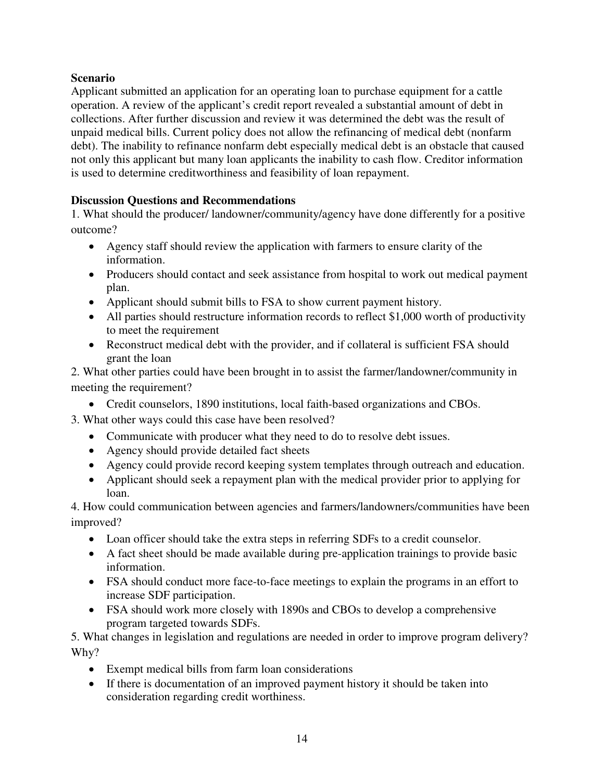## **Scenario**

Applicant submitted an application for an operating loan to purchase equipment for a cattle operation. A review of the applicant's credit report revealed a substantial amount of debt in collections. After further discussion and review it was determined the debt was the result of unpaid medical bills. Current policy does not allow the refinancing of medical debt (nonfarm debt). The inability to refinance nonfarm debt especially medical debt is an obstacle that caused not only this applicant but many loan applicants the inability to cash flow. Creditor information is used to determine creditworthiness and feasibility of loan repayment.

## **Discussion Questions and Recommendations**

1. What should the producer/ landowner/community/agency have done differently for a positive outcome?

- Agency staff should review the application with farmers to ensure clarity of the information.
- Producers should contact and seek assistance from hospital to work out medical payment plan.
- Applicant should submit bills to FSA to show current payment history.
- All parties should restructure information records to reflect \$1,000 worth of productivity to meet the requirement
- Reconstruct medical debt with the provider, and if collateral is sufficient FSA should grant the loan

2. What other parties could have been brought in to assist the farmer/landowner/community in meeting the requirement?

• Credit counselors, 1890 institutions, local faith-based organizations and CBOs.

3. What other ways could this case have been resolved?

- Communicate with producer what they need to do to resolve debt issues.
- Agency should provide detailed fact sheets
- Agency could provide record keeping system templates through outreach and education.
- Applicant should seek a repayment plan with the medical provider prior to applying for loan.

4. How could communication between agencies and farmers/landowners/communities have been improved?

- Loan officer should take the extra steps in referring SDFs to a credit counselor.
- A fact sheet should be made available during pre-application trainings to provide basic information.
- FSA should conduct more face-to-face meetings to explain the programs in an effort to increase SDF participation.
- FSA should work more closely with 1890s and CBOs to develop a comprehensive program targeted towards SDFs.

5. What changes in legislation and regulations are needed in order to improve program delivery? Why?

- Exempt medical bills from farm loan considerations
- If there is documentation of an improved payment history it should be taken into consideration regarding credit worthiness.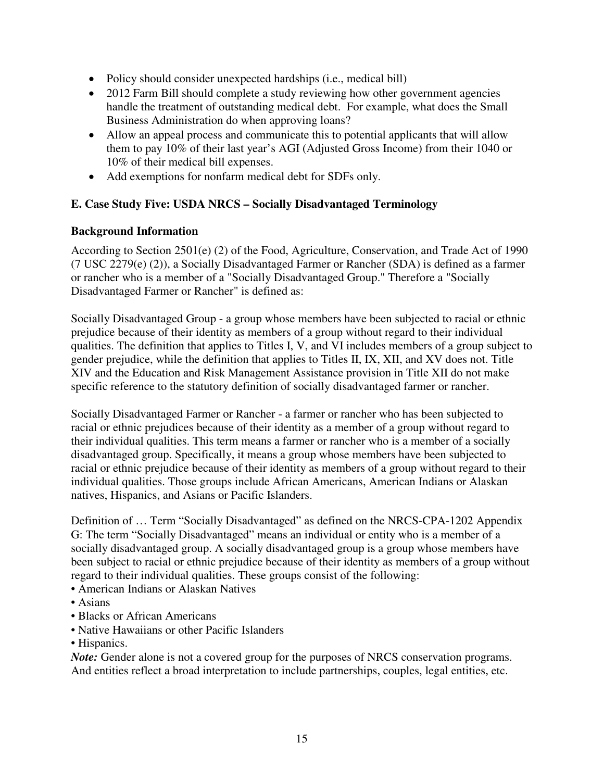- Policy should consider unexpected hardships (i.e., medical bill)
- 2012 Farm Bill should complete a study reviewing how other government agencies handle the treatment of outstanding medical debt. For example, what does the Small Business Administration do when approving loans?
- Allow an appeal process and communicate this to potential applicants that will allow them to pay 10% of their last year's AGI (Adjusted Gross Income) from their 1040 or 10% of their medical bill expenses.
- Add exemptions for nonfarm medical debt for SDFs only.

## **E. Case Study Five: USDA NRCS – Socially Disadvantaged Terminology**

## **Background Information**

According to Section 2501(e) (2) of the Food, Agriculture, Conservation, and Trade Act of 1990 (7 USC 2279(e) (2)), a Socially Disadvantaged Farmer or Rancher (SDA) is defined as a farmer or rancher who is a member of a "Socially Disadvantaged Group." Therefore a "Socially Disadvantaged Farmer or Rancher" is defined as:

Socially Disadvantaged Group - a group whose members have been subjected to racial or ethnic prejudice because of their identity as members of a group without regard to their individual qualities. The definition that applies to Titles I, V, and VI includes members of a group subject to gender prejudice, while the definition that applies to Titles II, IX, XII, and XV does not. Title XIV and the Education and Risk Management Assistance provision in Title XII do not make specific reference to the statutory definition of socially disadvantaged farmer or rancher.

Socially Disadvantaged Farmer or Rancher - a farmer or rancher who has been subjected to racial or ethnic prejudices because of their identity as a member of a group without regard to their individual qualities. This term means a farmer or rancher who is a member of a socially disadvantaged group. Specifically, it means a group whose members have been subjected to racial or ethnic prejudice because of their identity as members of a group without regard to their individual qualities. Those groups include African Americans, American Indians or Alaskan natives, Hispanics, and Asians or Pacific Islanders.

Definition of … Term "Socially Disadvantaged" as defined on the NRCS-CPA-1202 Appendix G: The term "Socially Disadvantaged" means an individual or entity who is a member of a socially disadvantaged group. A socially disadvantaged group is a group whose members have been subject to racial or ethnic prejudice because of their identity as members of a group without regard to their individual qualities. These groups consist of the following:

- American Indians or Alaskan Natives
- Asians
- Blacks or African Americans
- Native Hawaiians or other Pacific Islanders
- Hispanics.

*Note:* Gender alone is not a covered group for the purposes of NRCS conservation programs. And entities reflect a broad interpretation to include partnerships, couples, legal entities, etc.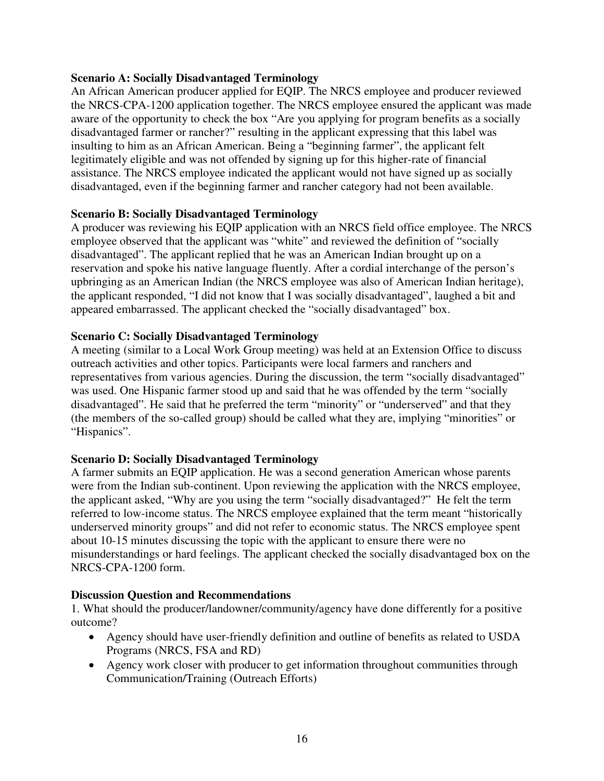## **Scenario A: Socially Disadvantaged Terminology**

An African American producer applied for EQIP. The NRCS employee and producer reviewed the NRCS-CPA-1200 application together. The NRCS employee ensured the applicant was made aware of the opportunity to check the box "Are you applying for program benefits as a socially disadvantaged farmer or rancher?" resulting in the applicant expressing that this label was insulting to him as an African American. Being a "beginning farmer", the applicant felt legitimately eligible and was not offended by signing up for this higher-rate of financial assistance. The NRCS employee indicated the applicant would not have signed up as socially disadvantaged, even if the beginning farmer and rancher category had not been available.

#### **Scenario B: Socially Disadvantaged Terminology**

A producer was reviewing his EQIP application with an NRCS field office employee. The NRCS employee observed that the applicant was "white" and reviewed the definition of "socially disadvantaged". The applicant replied that he was an American Indian brought up on a reservation and spoke his native language fluently. After a cordial interchange of the person's upbringing as an American Indian (the NRCS employee was also of American Indian heritage), the applicant responded, "I did not know that I was socially disadvantaged", laughed a bit and appeared embarrassed. The applicant checked the "socially disadvantaged" box.

#### **Scenario C: Socially Disadvantaged Terminology**

A meeting (similar to a Local Work Group meeting) was held at an Extension Office to discuss outreach activities and other topics. Participants were local farmers and ranchers and representatives from various agencies. During the discussion, the term "socially disadvantaged" was used. One Hispanic farmer stood up and said that he was offended by the term "socially disadvantaged". He said that he preferred the term "minority" or "underserved" and that they (the members of the so-called group) should be called what they are, implying "minorities" or "Hispanics".

## **Scenario D: Socially Disadvantaged Terminology**

A farmer submits an EQIP application. He was a second generation American whose parents were from the Indian sub-continent. Upon reviewing the application with the NRCS employee, the applicant asked, "Why are you using the term "socially disadvantaged?" He felt the term referred to low-income status. The NRCS employee explained that the term meant "historically underserved minority groups" and did not refer to economic status. The NRCS employee spent about 10-15 minutes discussing the topic with the applicant to ensure there were no misunderstandings or hard feelings. The applicant checked the socially disadvantaged box on the NRCS-CPA-1200 form.

#### **Discussion Question and Recommendations**

1. What should the producer/landowner/community/agency have done differently for a positive outcome?

- Agency should have user-friendly definition and outline of benefits as related to USDA Programs (NRCS, FSA and RD)
- Agency work closer with producer to get information throughout communities through Communication/Training (Outreach Efforts)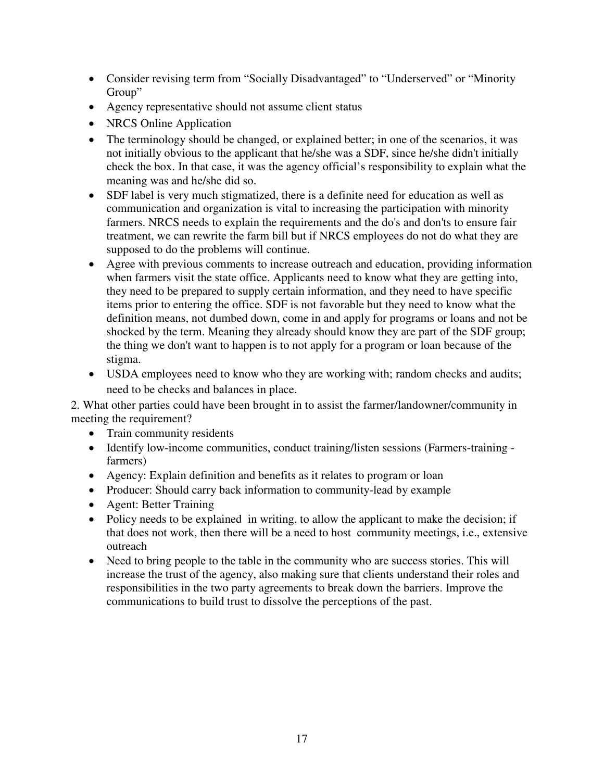- Consider revising term from "Socially Disadvantaged" to "Underserved" or "Minority Group"
- Agency representative should not assume client status
- NRCS Online Application
- The terminology should be changed, or explained better; in one of the scenarios, it was not initially obvious to the applicant that he/she was a SDF, since he/she didn't initially check the box. In that case, it was the agency official's responsibility to explain what the meaning was and he/she did so.
- SDF label is very much stigmatized, there is a definite need for education as well as communication and organization is vital to increasing the participation with minority farmers. NRCS needs to explain the requirements and the do's and don'ts to ensure fair treatment, we can rewrite the farm bill but if NRCS employees do not do what they are supposed to do the problems will continue.
- Agree with previous comments to increase outreach and education, providing information when farmers visit the state office. Applicants need to know what they are getting into, they need to be prepared to supply certain information, and they need to have specific items prior to entering the office. SDF is not favorable but they need to know what the definition means, not dumbed down, come in and apply for programs or loans and not be shocked by the term. Meaning they already should know they are part of the SDF group; the thing we don't want to happen is to not apply for a program or loan because of the stigma.
- USDA employees need to know who they are working with; random checks and audits; need to be checks and balances in place.

2. What other parties could have been brought in to assist the farmer/landowner/community in meeting the requirement?

- Train community residents
- Identify low-income communities, conduct training/listen sessions (Farmers-training farmers)
- Agency: Explain definition and benefits as it relates to program or loan
- Producer: Should carry back information to community-lead by example
- Agent: Better Training
- Policy needs to be explained in writing, to allow the applicant to make the decision; if that does not work, then there will be a need to host community meetings, i.e., extensive outreach
- Need to bring people to the table in the community who are success stories. This will increase the trust of the agency, also making sure that clients understand their roles and responsibilities in the two party agreements to break down the barriers. Improve the communications to build trust to dissolve the perceptions of the past.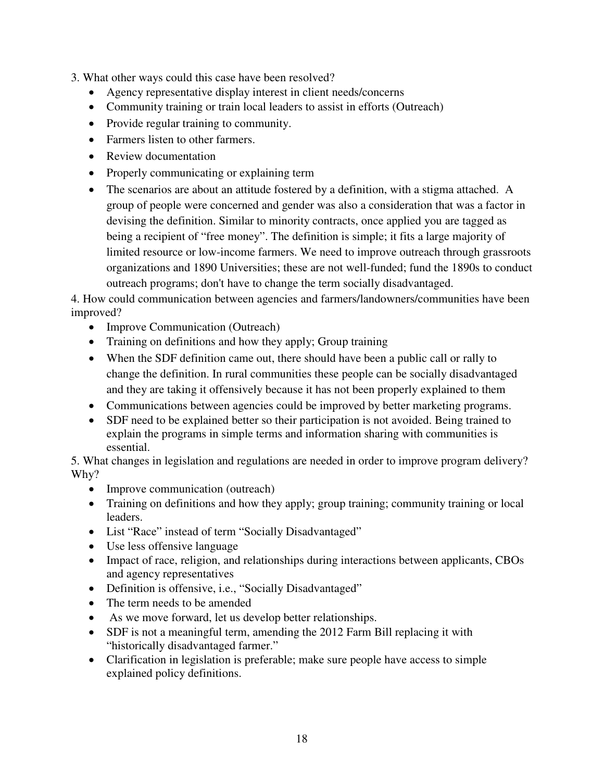- 3. What other ways could this case have been resolved?
	- Agency representative display interest in client needs/concerns
	- Community training or train local leaders to assist in efforts (Outreach)
	- Provide regular training to community.
	- Farmers listen to other farmers.
	- Review documentation
	- Properly communicating or explaining term
	- The scenarios are about an attitude fostered by a definition, with a stigma attached. A group of people were concerned and gender was also a consideration that was a factor in devising the definition. Similar to minority contracts, once applied you are tagged as being a recipient of "free money". The definition is simple; it fits a large majority of limited resource or low-income farmers. We need to improve outreach through grassroots organizations and 1890 Universities; these are not well-funded; fund the 1890s to conduct outreach programs; don't have to change the term socially disadvantaged.

4. How could communication between agencies and farmers/landowners/communities have been improved?

- Improve Communication (Outreach)
- Training on definitions and how they apply; Group training
- When the SDF definition came out, there should have been a public call or rally to change the definition. In rural communities these people can be socially disadvantaged and they are taking it offensively because it has not been properly explained to them
- Communications between agencies could be improved by better marketing programs.
- SDF need to be explained better so their participation is not avoided. Being trained to explain the programs in simple terms and information sharing with communities is essential.

5. What changes in legislation and regulations are needed in order to improve program delivery? Why?

- Improve communication (outreach)
- Training on definitions and how they apply; group training; community training or local leaders.
- List "Race" instead of term "Socially Disadvantaged"
- Use less offensive language
- Impact of race, religion, and relationships during interactions between applicants, CBOs and agency representatives
- Definition is offensive, i.e., "Socially Disadvantaged"
- The term needs to be amended
- As we move forward, let us develop better relationships.
- SDF is not a meaningful term, amending the 2012 Farm Bill replacing it with "historically disadvantaged farmer."
- Clarification in legislation is preferable; make sure people have access to simple explained policy definitions.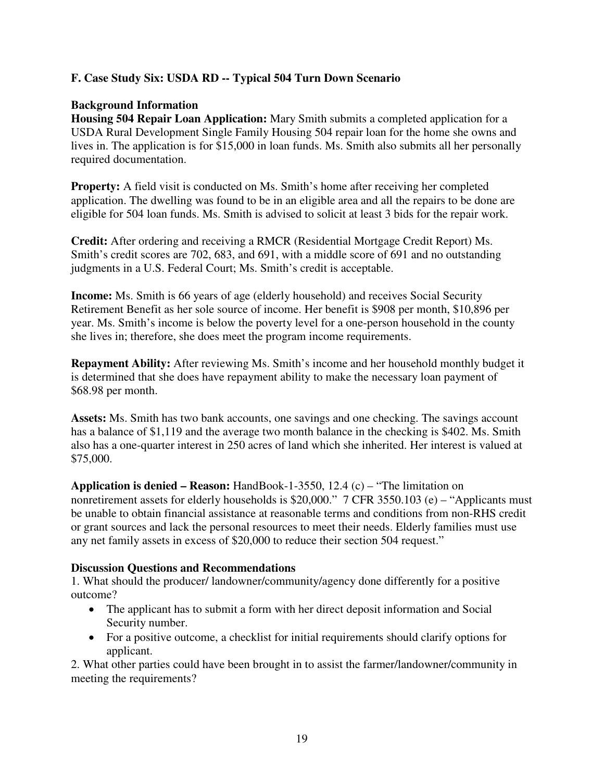## **F. Case Study Six: USDA RD -- Typical 504 Turn Down Scenario**

## **Background Information**

**Housing 504 Repair Loan Application:** Mary Smith submits a completed application for a USDA Rural Development Single Family Housing 504 repair loan for the home she owns and lives in. The application is for \$15,000 in loan funds. Ms. Smith also submits all her personally required documentation.

**Property:** A field visit is conducted on Ms. Smith's home after receiving her completed application. The dwelling was found to be in an eligible area and all the repairs to be done are eligible for 504 loan funds. Ms. Smith is advised to solicit at least 3 bids for the repair work.

**Credit:** After ordering and receiving a RMCR (Residential Mortgage Credit Report) Ms. Smith's credit scores are 702, 683, and 691, with a middle score of 691 and no outstanding judgments in a U.S. Federal Court; Ms. Smith's credit is acceptable.

**Income:** Ms. Smith is 66 years of age (elderly household) and receives Social Security Retirement Benefit as her sole source of income. Her benefit is \$908 per month, \$10,896 per year. Ms. Smith's income is below the poverty level for a one-person household in the county she lives in; therefore, she does meet the program income requirements.

**Repayment Ability:** After reviewing Ms. Smith's income and her household monthly budget it is determined that she does have repayment ability to make the necessary loan payment of \$68.98 per month.

**Assets:** Ms. Smith has two bank accounts, one savings and one checking. The savings account has a balance of \$1,119 and the average two month balance in the checking is \$402. Ms. Smith also has a one-quarter interest in 250 acres of land which she inherited. Her interest is valued at \$75,000.

**Application is denied – Reason:** HandBook-1-3550, 12.4 (c) – "The limitation on nonretirement assets for elderly households is \$20,000." 7 CFR 3550.103 (e) – "Applicants must be unable to obtain financial assistance at reasonable terms and conditions from non-RHS credit or grant sources and lack the personal resources to meet their needs. Elderly families must use any net family assets in excess of \$20,000 to reduce their section 504 request."

#### **Discussion Questions and Recommendations**

1. What should the producer/ landowner/community/agency done differently for a positive outcome?

- The applicant has to submit a form with her direct deposit information and Social Security number.
- For a positive outcome, a checklist for initial requirements should clarify options for applicant.

2. What other parties could have been brought in to assist the farmer/landowner/community in meeting the requirements?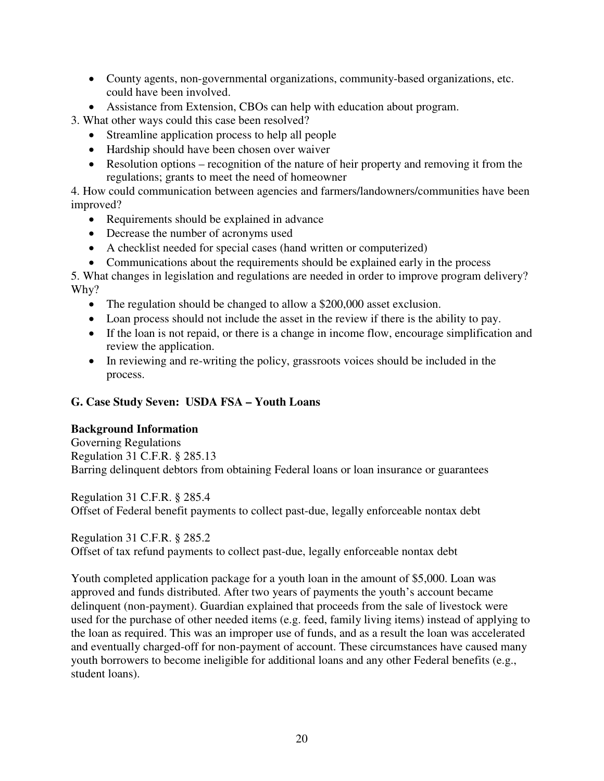- County agents, non-governmental organizations, community-based organizations, etc. could have been involved.
- Assistance from Extension, CBOs can help with education about program.

3. What other ways could this case been resolved?

- Streamline application process to help all people
- Hardship should have been chosen over waiver
- Resolution options recognition of the nature of heir property and removing it from the regulations; grants to meet the need of homeowner

4. How could communication between agencies and farmers/landowners/communities have been improved?

- Requirements should be explained in advance
- Decrease the number of acronyms used
- A checklist needed for special cases (hand written or computerized)
- Communications about the requirements should be explained early in the process

5. What changes in legislation and regulations are needed in order to improve program delivery? Why?

- The regulation should be changed to allow a \$200,000 asset exclusion.
- Loan process should not include the asset in the review if there is the ability to pay.
- If the loan is not repaid, or there is a change in income flow, encourage simplification and review the application.
- In reviewing and re-writing the policy, grassroots voices should be included in the process.

## **G. Case Study Seven: USDA FSA – Youth Loans**

#### **Background Information**

Governing Regulations Regulation 31 C.F.R. § 285.13 Barring delinquent debtors from obtaining Federal loans or loan insurance or guarantees

Regulation 31 C.F.R. § 285.4 Offset of Federal benefit payments to collect past-due, legally enforceable nontax debt

#### Regulation 31 C.F.R. § 285.2

Offset of tax refund payments to collect past-due, legally enforceable nontax debt

Youth completed application package for a youth loan in the amount of \$5,000. Loan was approved and funds distributed. After two years of payments the youth's account became delinquent (non-payment). Guardian explained that proceeds from the sale of livestock were used for the purchase of other needed items (e.g. feed, family living items) instead of applying to the loan as required. This was an improper use of funds, and as a result the loan was accelerated and eventually charged-off for non-payment of account. These circumstances have caused many youth borrowers to become ineligible for additional loans and any other Federal benefits (e.g., student loans).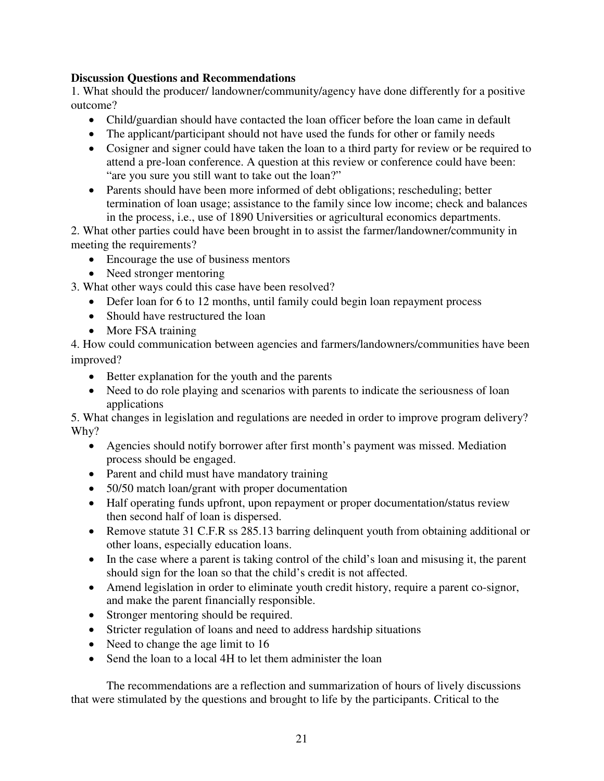## **Discussion Questions and Recommendations**

1. What should the producer/ landowner/community/agency have done differently for a positive outcome?

- Child/guardian should have contacted the loan officer before the loan came in default
- The applicant/participant should not have used the funds for other or family needs
- Cosigner and signer could have taken the loan to a third party for review or be required to attend a pre-loan conference. A question at this review or conference could have been: "are you sure you still want to take out the loan?"
- Parents should have been more informed of debt obligations; rescheduling; better termination of loan usage; assistance to the family since low income; check and balances in the process, i.e., use of 1890 Universities or agricultural economics departments.

2. What other parties could have been brought in to assist the farmer/landowner/community in meeting the requirements?

- Encourage the use of business mentors
- Need stronger mentoring
- 3. What other ways could this case have been resolved?
	- Defer loan for 6 to 12 months, until family could begin loan repayment process
	- Should have restructured the loan
	- More FSA training

4. How could communication between agencies and farmers/landowners/communities have been improved?

- Better explanation for the youth and the parents
- Need to do role playing and scenarios with parents to indicate the seriousness of loan applications

5. What changes in legislation and regulations are needed in order to improve program delivery? Why?

- Agencies should notify borrower after first month's payment was missed. Mediation process should be engaged.
- Parent and child must have mandatory training
- 50/50 match loan/grant with proper documentation
- Half operating funds upfront, upon repayment or proper documentation/status review then second half of loan is dispersed.
- Remove statute 31 C.F.R ss 285.13 barring delinquent youth from obtaining additional or other loans, especially education loans.
- In the case where a parent is taking control of the child's loan and misusing it, the parent should sign for the loan so that the child's credit is not affected.
- Amend legislation in order to eliminate youth credit history, require a parent co-signor, and make the parent financially responsible.
- Stronger mentoring should be required.
- Stricter regulation of loans and need to address hardship situations
- Need to change the age limit to 16
- Send the loan to a local 4H to let them administer the loan

The recommendations are a reflection and summarization of hours of lively discussions that were stimulated by the questions and brought to life by the participants. Critical to the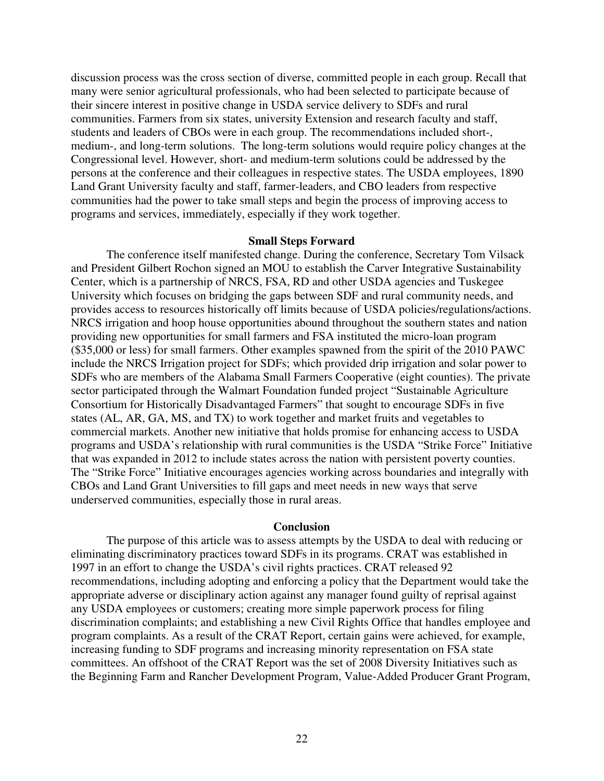discussion process was the cross section of diverse, committed people in each group. Recall that many were senior agricultural professionals, who had been selected to participate because of their sincere interest in positive change in USDA service delivery to SDFs and rural communities. Farmers from six states, university Extension and research faculty and staff, students and leaders of CBOs were in each group. The recommendations included short-, medium-, and long-term solutions. The long-term solutions would require policy changes at the Congressional level. However, short- and medium-term solutions could be addressed by the persons at the conference and their colleagues in respective states. The USDA employees, 1890 Land Grant University faculty and staff, farmer-leaders, and CBO leaders from respective communities had the power to take small steps and begin the process of improving access to programs and services, immediately, especially if they work together.

#### **Small Steps Forward**

The conference itself manifested change. During the conference, Secretary Tom Vilsack and President Gilbert Rochon signed an MOU to establish the Carver Integrative Sustainability Center, which is a partnership of NRCS, FSA, RD and other USDA agencies and Tuskegee University which focuses on bridging the gaps between SDF and rural community needs, and provides access to resources historically off limits because of USDA policies/regulations/actions. NRCS irrigation and hoop house opportunities abound throughout the southern states and nation providing new opportunities for small farmers and FSA instituted the micro-loan program (\$35,000 or less) for small farmers. Other examples spawned from the spirit of the 2010 PAWC include the NRCS Irrigation project for SDFs; which provided drip irrigation and solar power to SDFs who are members of the Alabama Small Farmers Cooperative (eight counties). The private sector participated through the Walmart Foundation funded project "Sustainable Agriculture Consortium for Historically Disadvantaged Farmers" that sought to encourage SDFs in five states (AL, AR, GA, MS, and TX) to work together and market fruits and vegetables to commercial markets. Another new initiative that holds promise for enhancing access to USDA programs and USDA's relationship with rural communities is the USDA "Strike Force" Initiative that was expanded in 2012 to include states across the nation with persistent poverty counties. The "Strike Force" Initiative encourages agencies working across boundaries and integrally with CBOs and Land Grant Universities to fill gaps and meet needs in new ways that serve underserved communities, especially those in rural areas.

#### **Conclusion**

The purpose of this article was to assess attempts by the USDA to deal with reducing or eliminating discriminatory practices toward SDFs in its programs. CRAT was established in 1997 in an effort to change the USDA's civil rights practices. CRAT released 92 recommendations, including adopting and enforcing a policy that the Department would take the appropriate adverse or disciplinary action against any manager found guilty of reprisal against any USDA employees or customers; creating more simple paperwork process for filing discrimination complaints; and establishing a new Civil Rights Office that handles employee and program complaints. As a result of the CRAT Report, certain gains were achieved, for example, increasing funding to SDF programs and increasing minority representation on FSA state committees. An offshoot of the CRAT Report was the set of 2008 Diversity Initiatives such as the Beginning Farm and Rancher Development Program, Value-Added Producer Grant Program,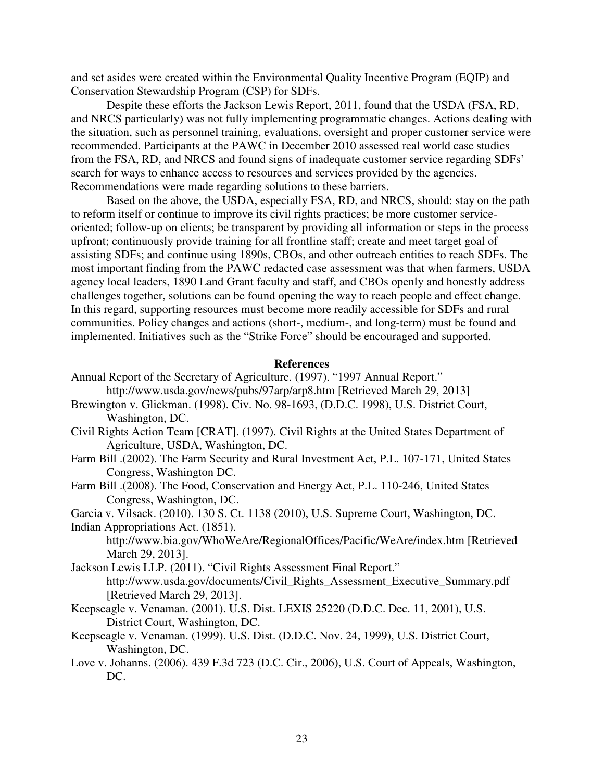and set asides were created within the Environmental Quality Incentive Program (EQIP) and Conservation Stewardship Program (CSP) for SDFs.

Despite these efforts the Jackson Lewis Report, 2011, found that the USDA (FSA, RD, and NRCS particularly) was not fully implementing programmatic changes. Actions dealing with the situation, such as personnel training, evaluations, oversight and proper customer service were recommended. Participants at the PAWC in December 2010 assessed real world case studies from the FSA, RD, and NRCS and found signs of inadequate customer service regarding SDFs' search for ways to enhance access to resources and services provided by the agencies. Recommendations were made regarding solutions to these barriers.

Based on the above, the USDA, especially FSA, RD, and NRCS, should: stay on the path to reform itself or continue to improve its civil rights practices; be more customer serviceoriented; follow-up on clients; be transparent by providing all information or steps in the process upfront; continuously provide training for all frontline staff; create and meet target goal of assisting SDFs; and continue using 1890s, CBOs, and other outreach entities to reach SDFs. The most important finding from the PAWC redacted case assessment was that when farmers, USDA agency local leaders, 1890 Land Grant faculty and staff, and CBOs openly and honestly address challenges together, solutions can be found opening the way to reach people and effect change. In this regard, supporting resources must become more readily accessible for SDFs and rural communities. Policy changes and actions (short-, medium-, and long-term) must be found and implemented. Initiatives such as the "Strike Force" should be encouraged and supported.

#### **References**

- Annual Report of the Secretary of Agriculture. (1997). "1997 Annual Report." http://www.usda.gov/news/pubs/97arp/arp8.htm [Retrieved March 29, 2013]
- Brewington v. Glickman. (1998). Civ. No. 98-1693, (D.D.C. 1998), U.S. District Court, Washington, DC.
- Civil Rights Action Team [CRAT]. (1997). Civil Rights at the United States Department of Agriculture, USDA, Washington, DC.
- Farm Bill .(2002). The Farm Security and Rural Investment Act, P.L. 107-171, United States Congress, Washington DC.
- Farm Bill .(2008). The Food, Conservation and Energy Act, P.L. 110-246, United States Congress, Washington, DC.

Garcia v. Vilsack. (2010). 130 S. Ct. 1138 (2010), U.S. Supreme Court, Washington, DC. Indian Appropriations Act. (1851).

http://www.bia.gov/WhoWeAre/RegionalOffices/Pacific/WeAre/index.htm [Retrieved March 29, 2013].

- Jackson Lewis LLP. (2011). "Civil Rights Assessment Final Report." http://www.usda.gov/documents/Civil\_Rights\_Assessment\_Executive\_Summary.pdf [Retrieved March 29, 2013].
- Keepseagle v. Venaman. (2001). U.S. Dist. LEXIS 25220 (D.D.C. Dec. 11, 2001), U.S. District Court, Washington, DC.
- Keepseagle v. Venaman. (1999). U.S. Dist. (D.D.C. Nov. 24, 1999), U.S. District Court, Washington, DC.
- Love v. Johanns. (2006). 439 F.3d 723 (D.C. Cir., 2006), U.S. Court of Appeals, Washington, DC.